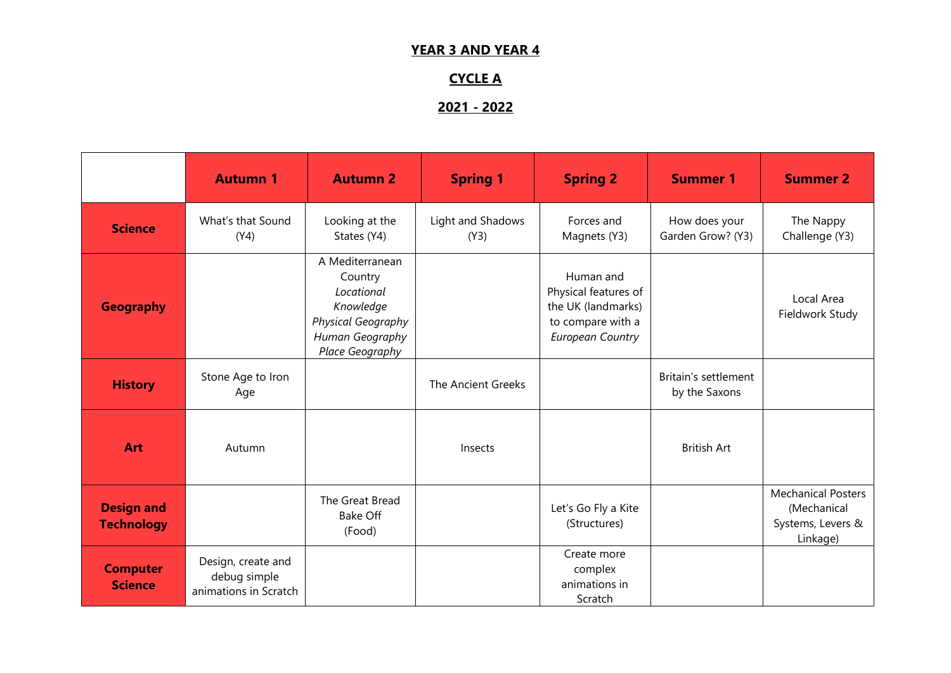## **YEAR 3 AND YEAR 4**

# **CYCLE A**

# **2021 - 2022**

|                                        | <b>Autumn 1</b>                                             | <b>Autumn 2</b>                                                                                                   | <b>Spring 1</b>           | <b>Spring 2</b>                                                                                         | <b>Summer 1</b>                       | <b>Summer 2</b>                                                           |
|----------------------------------------|-------------------------------------------------------------|-------------------------------------------------------------------------------------------------------------------|---------------------------|---------------------------------------------------------------------------------------------------------|---------------------------------------|---------------------------------------------------------------------------|
| <b>Science</b>                         | What's that Sound<br>(Y4)                                   | Looking at the<br>States (Y4)                                                                                     | Light and Shadows<br>(Y3) | Forces and<br>Magnets (Y3)                                                                              | How does your<br>Garden Grow? (Y3)    | The Nappy<br>Challenge (Y3)                                               |
| <b>Geography</b>                       |                                                             | A Mediterranean<br>Country<br>Locational<br>Knowledge<br>Physical Geography<br>Human Geography<br>Place Geography |                           | Human and<br>Physical features of<br>the UK (landmarks)<br>to compare with a<br><b>European Country</b> |                                       | Local Area<br>Fieldwork Study                                             |
| <b>History</b>                         | Stone Age to Iron<br>Age                                    |                                                                                                                   | The Ancient Greeks        |                                                                                                         | Britain's settlement<br>by the Saxons |                                                                           |
| Art                                    | Autumn                                                      |                                                                                                                   | Insects                   |                                                                                                         | <b>British Art</b>                    |                                                                           |
| <b>Design and</b><br><b>Technology</b> |                                                             | The Great Bread<br>Bake Off<br>(Food)                                                                             |                           | Let's Go Fly a Kite<br>(Structures)                                                                     |                                       | <b>Mechanical Posters</b><br>(Mechanical<br>Systems, Levers &<br>Linkage) |
| <b>Computer</b><br><b>Science</b>      | Design, create and<br>debug simple<br>animations in Scratch |                                                                                                                   |                           | Create more<br>complex<br>animations in<br>Scratch                                                      |                                       |                                                                           |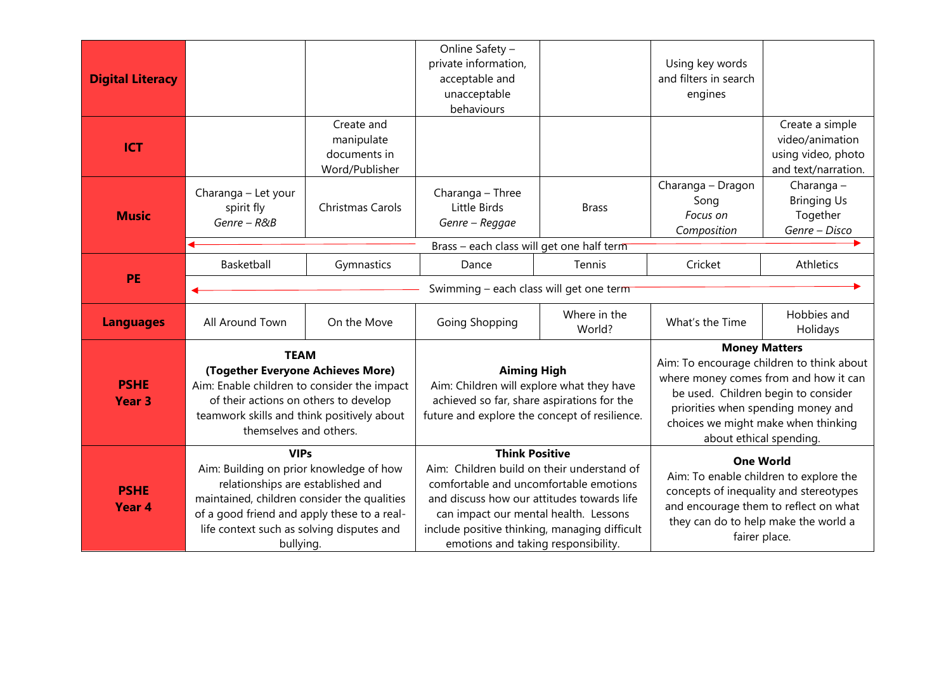| <b>Digital Literacy</b>          |                                                                                                                                                                                                                                                     |                                                            | Online Safety -<br>private information,<br>acceptable and<br>unacceptable<br>behaviours                                                                        |                                                                                                                                                                                                                                                                                              | Using key words<br>and filters in search<br>engines                                                                                                                                                                                                       |                                                                                                                                                                                                        |  |  |
|----------------------------------|-----------------------------------------------------------------------------------------------------------------------------------------------------------------------------------------------------------------------------------------------------|------------------------------------------------------------|----------------------------------------------------------------------------------------------------------------------------------------------------------------|----------------------------------------------------------------------------------------------------------------------------------------------------------------------------------------------------------------------------------------------------------------------------------------------|-----------------------------------------------------------------------------------------------------------------------------------------------------------------------------------------------------------------------------------------------------------|--------------------------------------------------------------------------------------------------------------------------------------------------------------------------------------------------------|--|--|
| <b>ICT</b>                       |                                                                                                                                                                                                                                                     | Create and<br>manipulate<br>documents in<br>Word/Publisher |                                                                                                                                                                |                                                                                                                                                                                                                                                                                              |                                                                                                                                                                                                                                                           | Create a simple<br>video/animation<br>using video, photo<br>and text/narration.                                                                                                                        |  |  |
| <b>Music</b>                     | Charanga - Let your<br>spirit fly<br>Genre - R&B                                                                                                                                                                                                    | Christmas Carols                                           | Charanga - Three<br>Little Birds<br>Genre - Reggae                                                                                                             | <b>Brass</b>                                                                                                                                                                                                                                                                                 | Charanga - Dragon<br>Song<br>Focus on<br>Composition                                                                                                                                                                                                      | Charanga-<br><b>Bringing Us</b><br>Together<br>Genre - Disco                                                                                                                                           |  |  |
|                                  |                                                                                                                                                                                                                                                     |                                                            | Brass - each class will get one half term                                                                                                                      |                                                                                                                                                                                                                                                                                              |                                                                                                                                                                                                                                                           |                                                                                                                                                                                                        |  |  |
|                                  | Basketball                                                                                                                                                                                                                                          | Gymnastics                                                 | Dance                                                                                                                                                          | Tennis                                                                                                                                                                                                                                                                                       | Cricket                                                                                                                                                                                                                                                   | Athletics                                                                                                                                                                                              |  |  |
| PE                               | Swimming – each class will get one term                                                                                                                                                                                                             |                                                            |                                                                                                                                                                |                                                                                                                                                                                                                                                                                              |                                                                                                                                                                                                                                                           |                                                                                                                                                                                                        |  |  |
| <b>Languages</b>                 | All Around Town                                                                                                                                                                                                                                     | On the Move                                                | Going Shopping                                                                                                                                                 | Where in the<br>World?                                                                                                                                                                                                                                                                       | What's the Time                                                                                                                                                                                                                                           | Hobbies and<br>Holidays                                                                                                                                                                                |  |  |
| <b>PSHE</b><br><b>Year 3</b>     | <b>TEAM</b><br>(Together Everyone Achieves More)<br>Aim: Enable children to consider the impact<br>of their actions on others to develop<br>teamwork skills and think positively about<br>themselves and others.                                    |                                                            | <b>Aiming High</b><br>Aim: Children will explore what they have<br>achieved so far, share aspirations for the<br>future and explore the concept of resilience. |                                                                                                                                                                                                                                                                                              | <b>Money Matters</b><br>Aim: To encourage children to think about<br>where money comes from and how it can<br>be used. Children begin to consider<br>priorities when spending money and<br>choices we might make when thinking<br>about ethical spending. |                                                                                                                                                                                                        |  |  |
| <b>PSHE</b><br>Year <sub>4</sub> | <b>VIPs</b><br>Aim: Building on prior knowledge of how<br>relationships are established and<br>maintained, children consider the qualities<br>of a good friend and apply these to a real-<br>life context such as solving disputes and<br>bullying. |                                                            |                                                                                                                                                                | <b>Think Positive</b><br>Aim: Children build on their understand of<br>comfortable and uncomfortable emotions<br>and discuss how our attitudes towards life<br>can impact our mental health. Lessons<br>include positive thinking, managing difficult<br>emotions and taking responsibility. |                                                                                                                                                                                                                                                           | <b>One World</b><br>Aim: To enable children to explore the<br>concepts of inequality and stereotypes<br>and encourage them to reflect on what<br>they can do to help make the world a<br>fairer place. |  |  |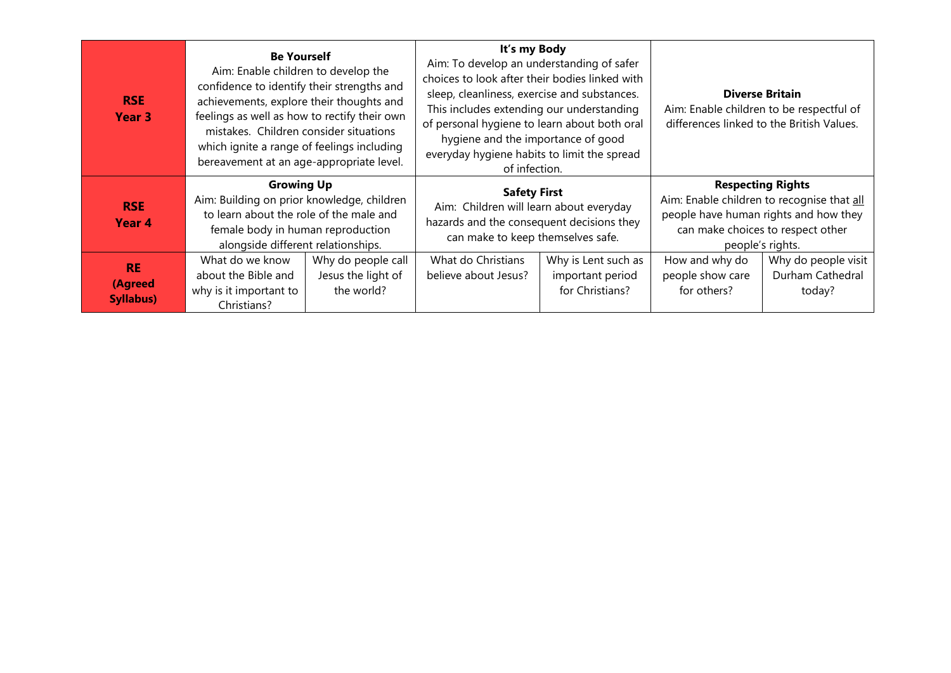| <b>RSE</b><br>Year 3                     | <b>Be Yourself</b><br>Aim: Enable children to develop the<br>confidence to identify their strengths and<br>achievements, explore their thoughts and<br>feelings as well as how to rectify their own<br>mistakes. Children consider situations<br>which ignite a range of feelings including<br>bereavement at an age-appropriate level. |                                                        | It's my Body<br>Aim: To develop an understanding of safer<br>choices to look after their bodies linked with<br>sleep, cleanliness, exercise and substances.<br>This includes extending our understanding<br>of personal hygiene to learn about both oral<br>hygiene and the importance of good<br>everyday hygiene habits to limit the spread<br>of infection. |                                                            | <b>Diverse Britain</b><br>Aim: Enable children to be respectful of<br>differences linked to the British Values. |                                                                                                                                                                          |
|------------------------------------------|-----------------------------------------------------------------------------------------------------------------------------------------------------------------------------------------------------------------------------------------------------------------------------------------------------------------------------------------|--------------------------------------------------------|----------------------------------------------------------------------------------------------------------------------------------------------------------------------------------------------------------------------------------------------------------------------------------------------------------------------------------------------------------------|------------------------------------------------------------|-----------------------------------------------------------------------------------------------------------------|--------------------------------------------------------------------------------------------------------------------------------------------------------------------------|
| <b>RSE</b><br>Year 4                     | <b>Growing Up</b><br>Aim: Building on prior knowledge, children<br>to learn about the role of the male and<br>female body in human reproduction<br>alongside different relationships.                                                                                                                                                   |                                                        | <b>Safety First</b><br>Aim: Children will learn about everyday<br>hazards and the consequent decisions they<br>can make to keep themselves safe.                                                                                                                                                                                                               |                                                            |                                                                                                                 | <b>Respecting Rights</b><br>Aim: Enable children to recognise that all<br>people have human rights and how they<br>can make choices to respect other<br>people's rights. |
| <b>RE</b><br>(Agreed<br><b>Syllabus)</b> | What do we know<br>about the Bible and<br>why is it important to<br>Christians?                                                                                                                                                                                                                                                         | Why do people call<br>Jesus the light of<br>the world? | What do Christians<br>believe about Jesus?                                                                                                                                                                                                                                                                                                                     | Why is Lent such as<br>important period<br>for Christians? | How and why do<br>people show care<br>for others?                                                               | Why do people visit<br>Durham Cathedral<br>today?                                                                                                                        |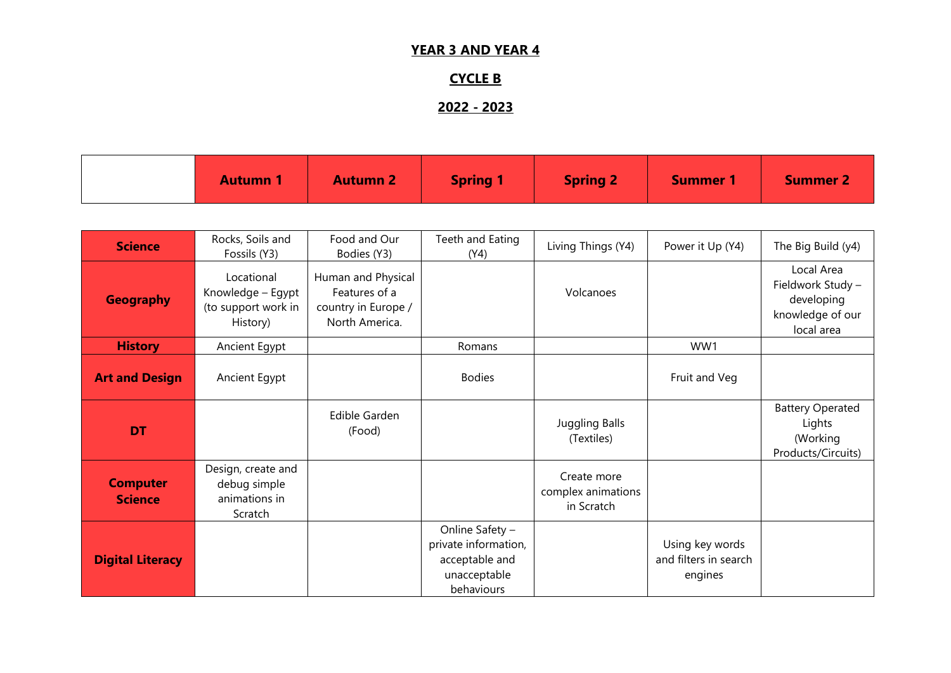## **YEAR 3 AND YEAR 4**

# **CYCLE B**

# **2022 - 2023**

| <b>Autumn</b> | <b>Spring 1</b><br><b>Autumn 2</b> | <b>Spring 2</b> | <b>Summer</b> | <b>Summer 2</b> |
|---------------|------------------------------------|-----------------|---------------|-----------------|
|---------------|------------------------------------|-----------------|---------------|-----------------|

| <b>Science</b>                    | Rocks, Soils and<br>Fossils (Y3)                                   | Food and Our<br>Bodies (Y3)                                                  | Teeth and Eating<br>(Y4)                                                                | Living Things (Y4)                              | Power it Up (Y4)                                    | The Big Build (y4)                                                              |
|-----------------------------------|--------------------------------------------------------------------|------------------------------------------------------------------------------|-----------------------------------------------------------------------------------------|-------------------------------------------------|-----------------------------------------------------|---------------------------------------------------------------------------------|
| <b>Geography</b>                  | Locational<br>Knowledge - Egypt<br>(to support work in<br>History) | Human and Physical<br>Features of a<br>country in Europe /<br>North America. |                                                                                         | Volcanoes                                       |                                                     | Local Area<br>Fieldwork Study -<br>developing<br>knowledge of our<br>local area |
| <b>History</b>                    | Ancient Egypt                                                      |                                                                              | Romans                                                                                  |                                                 | WW1                                                 |                                                                                 |
| <b>Art and Design</b>             | Ancient Egypt                                                      |                                                                              | <b>Bodies</b>                                                                           |                                                 | Fruit and Veg                                       |                                                                                 |
| <b>DT</b>                         |                                                                    | Edible Garden<br>(Food)                                                      |                                                                                         | <b>Juggling Balls</b><br>(Textiles)             |                                                     | <b>Battery Operated</b><br>Lights<br>(Working<br>Products/Circuits)             |
| <b>Computer</b><br><b>Science</b> | Design, create and<br>debug simple<br>animations in<br>Scratch     |                                                                              |                                                                                         | Create more<br>complex animations<br>in Scratch |                                                     |                                                                                 |
| <b>Digital Literacy</b>           |                                                                    |                                                                              | Online Safety -<br>private information,<br>acceptable and<br>unacceptable<br>behaviours |                                                 | Using key words<br>and filters in search<br>engines |                                                                                 |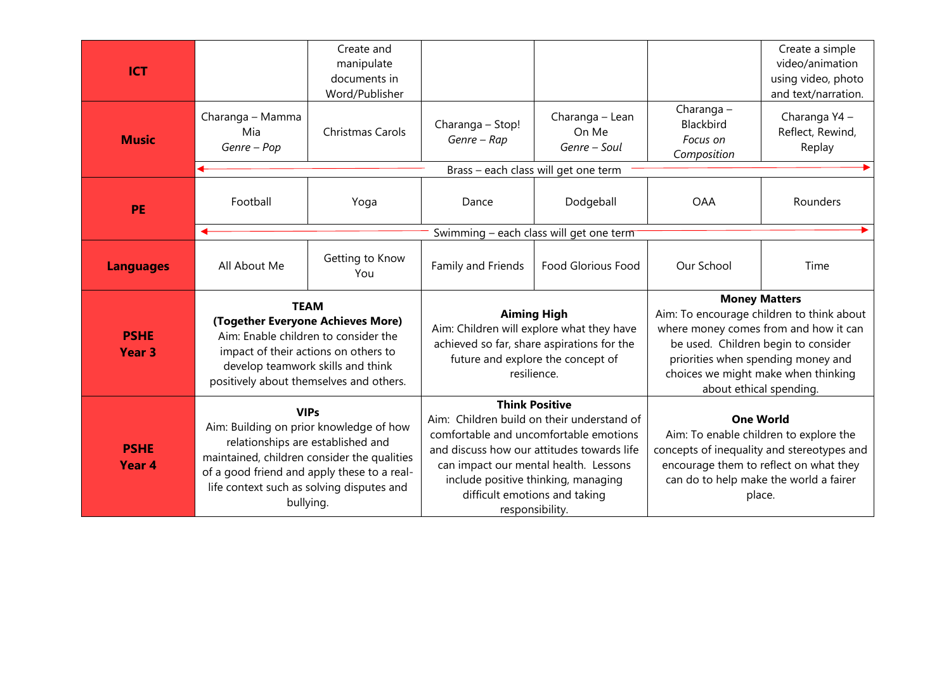| <b>ICT</b>                       |                                                                                                                                                                                                                                                     | Create and<br>manipulate<br>documents in<br>Word/Publisher |                                                                                                                                                                                                                                                                        |                                          |                                                                                                                                                                                                        | Create a simple<br>video/animation<br>using video, photo<br>and text/narration. |
|----------------------------------|-----------------------------------------------------------------------------------------------------------------------------------------------------------------------------------------------------------------------------------------------------|------------------------------------------------------------|------------------------------------------------------------------------------------------------------------------------------------------------------------------------------------------------------------------------------------------------------------------------|------------------------------------------|--------------------------------------------------------------------------------------------------------------------------------------------------------------------------------------------------------|---------------------------------------------------------------------------------|
| <b>Music</b>                     | Charanga - Mamma<br>Mia<br>Genre - Pop                                                                                                                                                                                                              | Christmas Carols                                           | Charanga - Stop!<br>Genre - Rap                                                                                                                                                                                                                                        | Charanga - Lean<br>On Me<br>Genre – Soul | Charanga-<br>Blackbird<br>Focus on<br>Composition                                                                                                                                                      | Charanga Y4 -<br>Reflect, Rewind,<br>Replay                                     |
|                                  |                                                                                                                                                                                                                                                     |                                                            |                                                                                                                                                                                                                                                                        | Brass - each class will get one term     |                                                                                                                                                                                                        |                                                                                 |
| <b>PE</b>                        | Football                                                                                                                                                                                                                                            | Yoga                                                       | Dance                                                                                                                                                                                                                                                                  | Dodgeball                                | <b>OAA</b>                                                                                                                                                                                             | Rounders                                                                        |
|                                  |                                                                                                                                                                                                                                                     |                                                            | Swimming - each class will get one term                                                                                                                                                                                                                                |                                          |                                                                                                                                                                                                        |                                                                                 |
| <b>Languages</b>                 | All About Me                                                                                                                                                                                                                                        | Getting to Know<br>You                                     | Family and Friends                                                                                                                                                                                                                                                     | <b>Food Glorious Food</b>                | Our School                                                                                                                                                                                             | Time                                                                            |
|                                  |                                                                                                                                                                                                                                                     |                                                            |                                                                                                                                                                                                                                                                        |                                          | <b>Money Matters</b>                                                                                                                                                                                   |                                                                                 |
|                                  | <b>TEAM</b><br>(Together Everyone Achieves More)<br>Aim: Enable children to consider the<br>impact of their actions on others to<br>develop teamwork skills and think<br>positively about themselves and others.                                    |                                                            | <b>Aiming High</b>                                                                                                                                                                                                                                                     |                                          |                                                                                                                                                                                                        | Aim: To encourage children to think about                                       |
| <b>PSHE</b><br><b>Year 3</b>     |                                                                                                                                                                                                                                                     |                                                            | Aim: Children will explore what they have<br>achieved so far, share aspirations for the<br>future and explore the concept of<br>resilience.                                                                                                                            |                                          | where money comes from and how it can<br>be used. Children begin to consider<br>priorities when spending money and<br>choices we might make when thinking<br>about ethical spending.                   |                                                                                 |
|                                  |                                                                                                                                                                                                                                                     |                                                            | <b>Think Positive</b>                                                                                                                                                                                                                                                  |                                          |                                                                                                                                                                                                        |                                                                                 |
| <b>PSHE</b><br>Year <sub>4</sub> | <b>VIPs</b><br>Aim: Building on prior knowledge of how<br>relationships are established and<br>maintained, children consider the qualities<br>of a good friend and apply these to a real-<br>life context such as solving disputes and<br>bullying. |                                                            | Aim: Children build on their understand of<br>comfortable and uncomfortable emotions<br>and discuss how our attitudes towards life<br>can impact our mental health. Lessons<br>include positive thinking, managing<br>difficult emotions and taking<br>responsibility. |                                          | <b>One World</b><br>Aim: To enable children to explore the<br>concepts of inequality and stereotypes and<br>encourage them to reflect on what they<br>can do to help make the world a fairer<br>place. |                                                                                 |